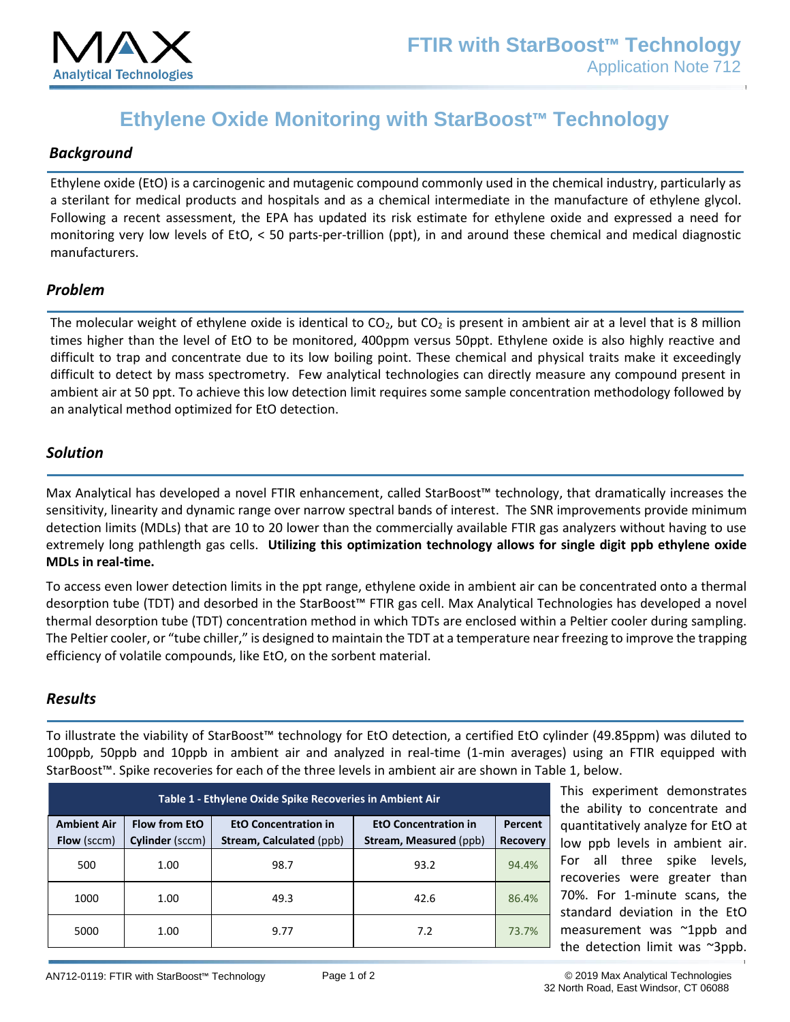

# **Ethylene Oxide Monitoring with StarBoost™ Technology**

### *Background*

Ethylene oxide (EtO) is a carcinogenic and mutagenic compound commonly used in the chemical industry, particularly as a sterilant for medical products and hospitals and as a chemical intermediate in the manufacture of ethylene glycol. Following a recent assessment, the EPA has updated its risk estimate for ethylene oxide and expressed a need for monitoring very low levels of EtO, < 50 parts-per-trillion (ppt), in and around these chemical and medical diagnostic manufacturers.

#### *Problem*

The molecular weight of ethylene oxide is identical to  $CO<sub>2</sub>$ , but  $CO<sub>2</sub>$  is present in ambient air at a level that is 8 million times higher than the level of EtO to be monitored, 400ppm versus 50ppt. Ethylene oxide is also highly reactive and difficult to trap and concentrate due to its low boiling point. These chemical and physical traits make it exceedingly difficult to detect by mass spectrometry. Few analytical technologies can directly measure any compound present in ambient air at 50 ppt. To achieve this low detection limit requires some sample concentration methodology followed by an analytical method optimized for EtO detection.

#### *Solution*

Max Analytical has developed a novel FTIR enhancement, called StarBoost™ technology, that dramatically increases the sensitivity, linearity and dynamic range over narrow spectral bands of interest. The SNR improvements provide minimum detection limits (MDLs) that are 10 to 20 lower than the commercially available FTIR gas analyzers without having to use extremely long pathlength gas cells. **Utilizing this optimization technology allows for single digit ppb ethylene oxide MDLs in real-time.**

To access even lower detection limits in the ppt range, ethylene oxide in ambient air can be concentrated onto a thermal desorption tube (TDT) and desorbed in the StarBoost™ FTIR gas cell. Max Analytical Technologies has developed a novel thermal desorption tube (TDT) concentration method in which TDTs are enclosed within a Peltier cooler during sampling. The Peltier cooler, or "tube chiller," is designed to maintain the TDT at a temperature near freezing to improve the trapping efficiency of volatile compounds, like EtO, on the sorbent material.

#### *Results*

To illustrate the viability of StarBoost™ technology for EtO detection, a certified EtO cylinder (49.85ppm) was diluted to 100ppb, 50ppb and 10ppb in ambient air and analyzed in real-time (1-min averages) using an FTIR equipped with StarBoost™. Spike recoveries for each of the three levels in ambient air are shown in Table 1, below.

| Table 1 - Ethylene Oxide Spike Recoveries in Ambient Air |                                  |                                                         |                                                       |                            | This experiment demonstrates<br>the ability to concentrate and                                                                                                                                                                                                     |
|----------------------------------------------------------|----------------------------------|---------------------------------------------------------|-------------------------------------------------------|----------------------------|--------------------------------------------------------------------------------------------------------------------------------------------------------------------------------------------------------------------------------------------------------------------|
| <b>Ambient Air</b><br>Flow (sccm)                        | Flow from EtO<br>Cylinder (sccm) | <b>EtO Concentration in</b><br>Stream, Calculated (ppb) | <b>EtO Concentration in</b><br>Stream, Measured (ppb) | Percent<br><b>Recovery</b> | quantitatively analyze for EtO at<br>low ppb levels in ambient air.<br>For all three spike levels,<br>recoveries were greater than<br>70%. For 1-minute scans, the<br>standard deviation in the EtO<br>measurement was ~1ppb and<br>the detection limit was ~3ppb. |
| 500                                                      | 1.00                             | 98.7                                                    | 93.2                                                  | 94.4%                      |                                                                                                                                                                                                                                                                    |
| 1000                                                     | 1.00                             | 49.3                                                    | 42.6                                                  | 86.4%                      |                                                                                                                                                                                                                                                                    |
| 5000                                                     | 1.00                             | 9.77                                                    | 7.2                                                   | 73.7%                      |                                                                                                                                                                                                                                                                    |